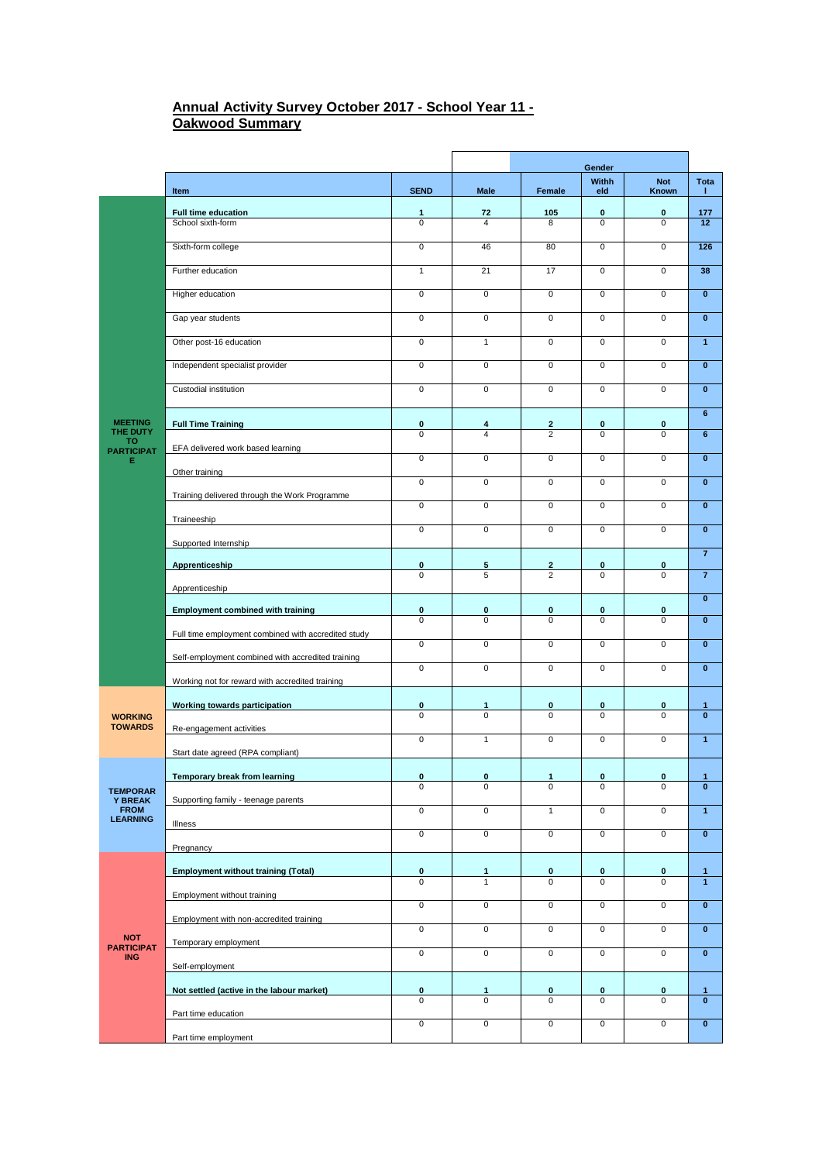## **Annual Activity Survey October 2017 - School Year 11 - Oakwood Summary**

|                                                                     |                                                     |                          | Gender                       |                                           |                             |                            |                              |
|---------------------------------------------------------------------|-----------------------------------------------------|--------------------------|------------------------------|-------------------------------------------|-----------------------------|----------------------------|------------------------------|
|                                                                     | Item                                                | <b>SEND</b>              | Male                         | Female                                    | Withh<br>eld                | <b>Not</b><br>Known        | Tota<br>т.                   |
|                                                                     | Full time education                                 | 1                        | 72                           | 105                                       | $\bf{0}$                    | 0                          | 177                          |
|                                                                     | School sixth-form                                   | 0                        | 4                            | 8                                         | $\Omega$                    | 0                          | 12 <sup>2</sup>              |
|                                                                     | Sixth-form college                                  | $\mathbf 0$              | 46                           | 80                                        | $\mathbf 0$                 | $\overline{0}$             | 126                          |
|                                                                     | Further education                                   | $\mathbf{1}$             | 21                           | 17                                        | $\mathbf 0$                 | 0                          | 38                           |
|                                                                     | Higher education                                    | 0                        | 0                            | $\mathbf 0$                               | $\mathsf 0$                 | 0                          | $\pmb{0}$                    |
|                                                                     | Gap year students                                   | 0                        | 0                            | $\mathbf 0$                               | $\mathbf 0$                 | 0                          | $\pmb{0}$                    |
|                                                                     | Other post-16 education                             | 0                        | $\mathbf{1}$                 | $\mathbf 0$                               | $\mathbf 0$                 | $\overline{0}$             | $\mathbf{1}$                 |
|                                                                     | Independent specialist provider                     | $\mathbf 0$              | $\mathbf 0$                  | $\mathbf 0$                               | $\overline{0}$              | $\mathbf 0$                | $\bf{0}$                     |
|                                                                     | Custodial institution                               | $\overline{0}$           | $\overline{0}$               | $\overline{0}$                            | $\overline{0}$              | $\overline{0}$             | $\overline{\mathbf{0}}$      |
| <b>MEETING</b><br>THE DUTY                                          | <b>Full Time Training</b>                           | $\bf{0}$                 | 4                            | $\mathbf{2}$                              | $\bf{0}$                    | 0                          | 6                            |
| то<br><b>PARTICIPAT</b>                                             | EFA delivered work based learning                   | $\mathbf 0$              | $\overline{4}$               | $\overline{2}$                            | $\mathbf 0$                 | $\mathbf 0$                | $6\phantom{1}$               |
| Е                                                                   | Other training                                      | $\mathbf 0$              | $\mathsf{O}\xspace$          | $\mathbf 0$                               | $\mathbf 0$                 | 0                          | $\bf{0}$                     |
|                                                                     |                                                     | $\mathbf 0$              | $\mathsf{O}\xspace$          | $\mathbf 0$                               | $\mathsf 0$                 | $\mathbf 0$                | $\pmb{0}$                    |
|                                                                     | Training delivered through the Work Programme       | $\mathbf 0$              | $\mathbf 0$                  | $\mathbf 0$                               | $\mathbf 0$                 | $\mathbf 0$                | $\mathbf{0}$                 |
|                                                                     | Traineeship                                         | 0                        | 0                            | 0                                         | $\mathbf 0$                 | $\overline{0}$             | $\bf{0}$                     |
|                                                                     | Supported Internship                                |                          |                              |                                           |                             |                            | $\overline{\mathbf{z}}$      |
|                                                                     | Apprenticeship                                      | $\pmb{0}$<br>$\mathbf 0$ | 5<br>5                       | $\overline{\mathbf{2}}$<br>$\overline{2}$ | 0<br>$\overline{0}$         | 0<br>$\mathbf 0$           | $\overline{7}$               |
|                                                                     | Apprenticeship                                      |                          |                              |                                           |                             |                            | $\overline{\mathbf{0}}$      |
|                                                                     | <b>Employment combined with training</b>            | $\pmb{0}$                | 0                            | 0                                         | 0                           | 0                          |                              |
|                                                                     | Full time employment combined with accredited study | 0                        | $\Omega$                     | $\Omega$                                  | $\Omega$                    | 0                          | $\pmb{0}$                    |
|                                                                     | Self-employment combined with accredited training   | $\overline{0}$           | $\overline{0}$               | $\mathbf{0}$                              | $\overline{0}$              | $\overline{0}$             | $\pmb{0}$                    |
|                                                                     | Working not for reward with accredited training     | 0                        | 0                            | 0                                         | 0                           | 0                          | $\pmb{0}$                    |
|                                                                     |                                                     |                          |                              |                                           |                             |                            |                              |
| <b>WORKING</b>                                                      | Working towards participation                       | $\pmb{0}$<br>$\mathbf 0$ | 1<br>$\pmb{0}$               | $\pmb{0}$<br>0                            | $\pmb{0}$<br>$\mathbf 0$    | 0<br>$\mathbf 0$           | 1<br>$\mathbf{0}$            |
| <b>TOWARDS</b>                                                      | Re-engagement activities                            | $\mathbf 0$              | $\mathbf{1}$                 | $\mathbf 0$                               | $\mathbf 0$                 | $\overline{0}$             | $\overline{1}$               |
|                                                                     | Start date agreed (RPA compliant)                   |                          |                              |                                           |                             |                            |                              |
| <b>TEMPORAR</b><br><b>Y BREAK</b><br><b>FROM</b><br><b>LEARNING</b> | Temporary break from learning                       | $\bf{0}$                 | $\bf{0}$                     | 1<br>$\overline{0}$                       | $\bf{0}$                    | $\bf{0}$<br>$\overline{0}$ | 1<br>$\overline{0}$          |
|                                                                     | Supporting family - teenage parents                 | 0                        | $\overline{0}$               |                                           | 0                           |                            |                              |
|                                                                     | Illness                                             | $\overline{0}$           | $\overline{0}$               | $\overline{1}$                            | $\overline{0}$              | $\overline{0}$             | $\overline{1}$               |
|                                                                     | Pregnancy                                           | $\overline{\mathbf{0}}$  | $\overline{\mathbf{0}}$      | $\overline{0}$                            | $\overline{0}$              | $\overline{\mathbf{0}}$    | $\overline{\textbf{0}}$      |
|                                                                     |                                                     |                          |                              |                                           |                             |                            |                              |
| <b>NOT</b><br><b>PARTICIPAT</b><br><b>ING</b>                       | <b>Employment without training (Total)</b>          | $\pmb{0}$<br>$\mathbf 0$ | $\mathbf{1}$<br>$\mathbf{1}$ | 0<br>0                                    | $\mathbf 0$<br>0            | 0<br>$\mathbf 0$           | $\mathbf{1}$<br>$\mathbf{1}$ |
|                                                                     | Employment without training                         | $\overline{0}$           | $\overline{0}$               | $\overline{0}$                            | $\overline{0}$              | 0                          | $\mathbf{0}$                 |
|                                                                     | Employment with non-accredited training             | $\overline{0}$           | $\overline{0}$               | $\overline{0}$                            | $\overline{0}$              | 0                          | $\mathbf{0}$                 |
|                                                                     | Temporary employment                                | $\mathbf 0$              | $\overline{0}$               | $\overline{0}$                            | $\overline{0}$              | $\mathbf 0$                | $\mathbf{0}$                 |
|                                                                     | Self-employment                                     |                          |                              |                                           |                             |                            |                              |
|                                                                     | Not settled (active in the labour market)           | 0                        | 1<br>0                       | 0                                         | $\pmb{0}$<br>$\overline{0}$ | 0                          | 1<br>$\overline{\mathbf{0}}$ |
|                                                                     | Part time education                                 | $\overline{0}$           |                              | 0                                         |                             | 0                          |                              |
|                                                                     | Part time employment                                | 0                        | $\overline{0}$               | 0                                         | $\overline{0}$              | $\overline{0}$             | $\overline{\mathbf{0}}$      |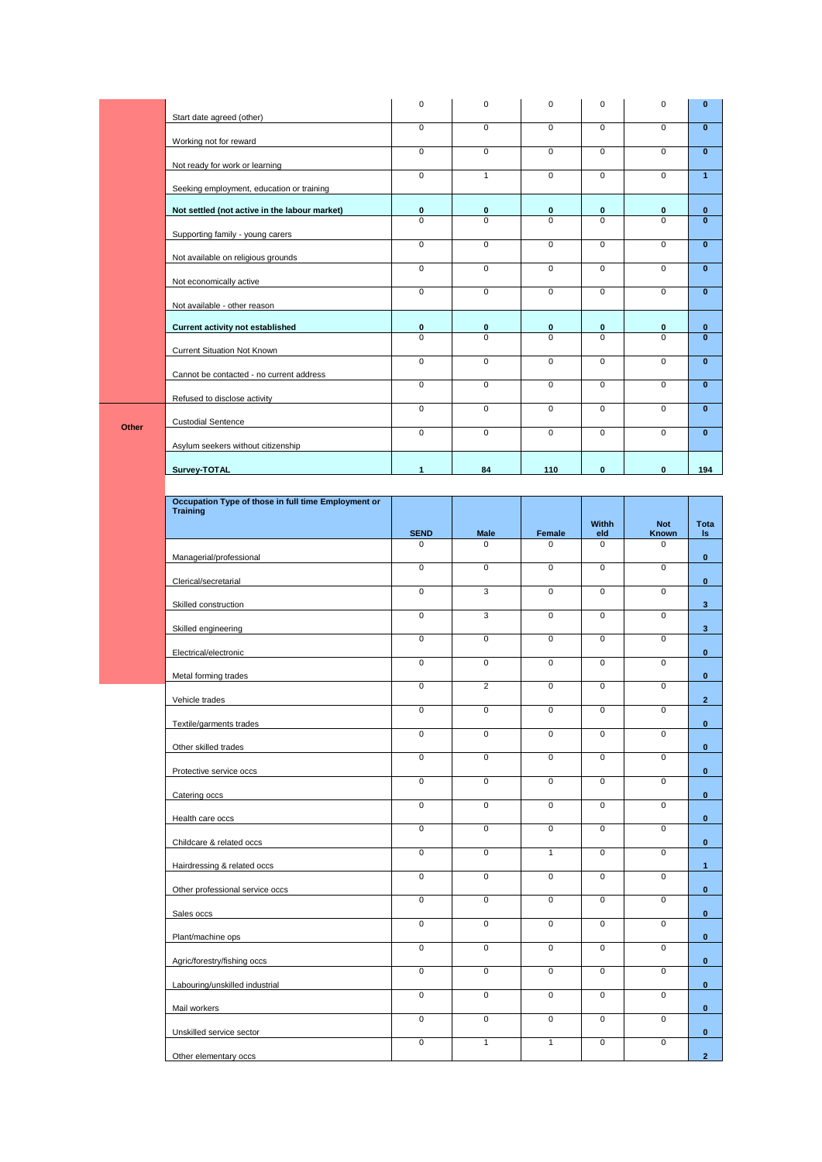|       |                                                                        | $\mathbf 0$         | $\mathbf 0$         | $\mathsf 0$    | 0                       | $\pmb{0}$           | $\pmb{0}$               |
|-------|------------------------------------------------------------------------|---------------------|---------------------|----------------|-------------------------|---------------------|-------------------------|
|       | Start date agreed (other)                                              | $\mathbf 0$         | $\mathbf 0$         | $\mathbf 0$    | $\mathbf 0$             | $\mathbf 0$         | $\pmb{0}$               |
|       | Working not for reward                                                 | $\mathsf{O}\xspace$ | $\mathsf{O}\xspace$ | 0              | 0                       | $\mathsf 0$         | $\bf{0}$                |
|       | Not ready for work or learning                                         |                     |                     |                |                         |                     |                         |
|       | Seeking employment, education or training                              | $\overline{0}$      | $\mathbf{1}$        | 0              | 0                       | $\mathsf 0$         | $\mathbf{1}$            |
|       | Not settled (not active in the labour market)                          | $\bf{0}$            | $\pmb{0}$           | $\bf{0}$       | 0                       | $\pmb{0}$           | $\mathbf 0$             |
|       | Supporting family - young carers                                       | $\Omega$            | $\Omega$            | 0              | $\mathbf 0$             | $\mathbf 0$         | $\mathbf{0}$            |
|       | Not available on religious grounds                                     | $\overline{0}$      | $\overline{0}$      | $\overline{0}$ | $\overline{0}$          | $\overline{0}$      | $\overline{\mathbf{0}}$ |
|       | Not economically active                                                | $\overline{0}$      | $\mathbf 0$         | $\overline{0}$ | $\overline{0}$          | $\overline{0}$      | $\overline{\mathbf{0}}$ |
|       | Not available - other reason                                           | $\overline{0}$      | $\overline{0}$      | $\overline{0}$ | $\overline{0}$          | $\overline{0}$      | $\overline{\mathbf{0}}$ |
|       | <b>Current activity not established</b>                                | $\pmb{0}$           | $\pmb{0}$           | $\bf{0}$       | 0                       | $\pmb{0}$           | $\pmb{0}$               |
|       |                                                                        | $\mathbf 0$         | $\mathbf 0$         | 0              | $\mathbf 0$             | $\mathbf 0$         | $\mathbf{0}$            |
|       | Current Situation Not Known                                            | $\overline{0}$      | $\mathbf 0$         | $\overline{0}$ | $\mathbf 0$             | $\mathsf 0$         | $\bf{0}$                |
|       | Cannot be contacted - no current address                               | $\mathsf 0$         | $\mathsf{O}\xspace$ | $\mathbf 0$    | 0                       | $\mathsf 0$         | $\pmb{0}$               |
|       | Refused to disclose activity                                           | $\mathbf 0$         | $\mathbf 0$         | $\mathbf{0}$   | $\mathsf 0$             | $\mathbf 0$         | $\mathbf{0}$            |
| Other | <b>Custodial Sentence</b>                                              | $\overline{0}$      | $\mathsf{O}\xspace$ | 0              | 0                       | $\overline{0}$      | $\pmb{0}$               |
|       | Asylum seekers without citizenship                                     |                     |                     |                |                         |                     |                         |
|       | Survey-TOTAL                                                           | $\mathbf{1}$        | 84                  | 110            | $\mathbf 0$             | $\mathbf 0$         | 194                     |
|       |                                                                        |                     |                     |                |                         |                     |                         |
|       | Occupation Type of those in full time Employment or<br><b>Training</b> |                     |                     |                |                         |                     |                         |
|       |                                                                        | <b>SEND</b>         | <b>Male</b>         | Female         | Withh<br>eld            | <b>Not</b><br>Known | Tota<br>$\sf ls$        |
|       | Managerial/professional                                                | 0                   | $\Omega$            | 0              | 0                       | $\mathbf 0$         | $\bf{0}$                |
|       | Clerical/secretarial                                                   | $\overline{0}$      | $\mathsf{O}\xspace$ | $\overline{0}$ | 0                       | $\mathbf 0$         | $\mathbf{0}$            |
|       | Skilled construction                                                   | $\pmb{0}$           | 3                   | $\mathbf 0$    | 0                       | $\mathsf 0$         | 3                       |
|       | Skilled engineering                                                    | $\mathsf{O}\xspace$ | 3                   | 0              | 0                       | $\mathsf 0$         | $\mathbf{3}$            |
|       |                                                                        | $\mathsf 0$         | $\mathsf{O}\xspace$ | $\mathbf 0$    | 0                       | $\mathsf 0$         |                         |
|       | Electrical/electronic                                                  | $\overline{0}$      | $\mathsf{O}\xspace$ | $\mathbf{0}$   | 0                       | $\overline{0}$      | $\mathbf{0}$            |
|       | Metal forming trades                                                   | $\pmb{0}$           | $\sqrt{2}$          | 0              | 0                       | $\mathsf 0$         | $\bf{0}$                |
|       | Vehicle trades                                                         | $\overline{0}$      | $\overline{0}$      | $\overline{0}$ | $\overline{0}$          | $\overline{0}$      | $\mathbf{2}$            |
|       | Textile/garments trades                                                | $\mathbf 0$         | $\overline{0}$      | $\overline{0}$ | $\overline{\mathbf{0}}$ | $\mathbf 0$         | $\mathbf 0$             |
|       | Other skilled trades                                                   | $\overline{0}$      | $\overline{0}$      | $\overline{0}$ | $\overline{0}$          | $\overline{0}$      | $\mathbf{0}$            |
|       | Protective service occs                                                | $\overline{0}$      | $\mathbf 0$         | $\overline{0}$ | $\overline{0}$          | $\overline{0}$      | $\mathbf{0}$            |
|       | Catering occs                                                          | $\overline{0}$      | $\overline{0}$      | $\overline{0}$ | $\mathbf 0$             | $\overline{0}$      | $\mathbf 0$             |
|       | Health care occs                                                       | $\overline{0}$      |                     | $\overline{0}$ |                         |                     | $\mathbf 0$             |
|       | Childcare & related occs                                               |                     | $\overline{0}$      |                | $\overline{0}$          | $\overline{0}$      | $\mathbf{0}$            |
|       | Hairdressing & related occs                                            | $\overline{0}$      | $\overline{0}$      | $\mathbf{1}$   | $\mathbf 0$             | $\mathsf 0$         | $\mathbf{1}$            |
|       | Other professional service occs                                        | $\overline{0}$      | $\overline{0}$      | $\overline{0}$ | $\overline{0}$          | $\overline{0}$      | $\mathbf 0$             |
|       | Sales occs                                                             | $\mathsf 0$         | $\mathsf 0$         | 0              | $\mathbf 0$             | $\mathsf 0$         | $\mathbf{0}$            |
|       | Plant/machine ops                                                      | $\overline{0}$      | $\overline{0}$      | $\overline{0}$ | $\overline{0}$          | $\overline{0}$      | $\mathbf{0}$            |
|       |                                                                        | $\mathbf 0$         | $\mathbf 0$         | $\mathbf 0$    | $\mathbf 0$             | $\mathbf 0$         | $\mathbf 0$             |
|       | Agric/forestry/fishing occs                                            | $\overline{0}$      | $\overline{0}$      | $\overline{0}$ | $\overline{0}$          | $\overline{0}$      |                         |
|       |                                                                        |                     |                     |                |                         |                     |                         |
|       | Labouring/unskilled industrial                                         | $\overline{0}$      | $\mathsf 0$         | 0              | $\mathbf 0$             | $\overline{0}$      | $\mathbf{0}$            |
|       | Mail workers                                                           | $\overline{0}$      | $\overline{0}$      | $\overline{0}$ | $\overline{0}$          | $\overline{0}$      | $\mathbf{0}$            |
|       | Unskilled service sector                                               | $\mathsf 0$         | $\mathbf{1}$        | $\mathbf{1}$   | $\mathbf 0$             | $\mathsf 0$         | $\mathbf{0}$            |